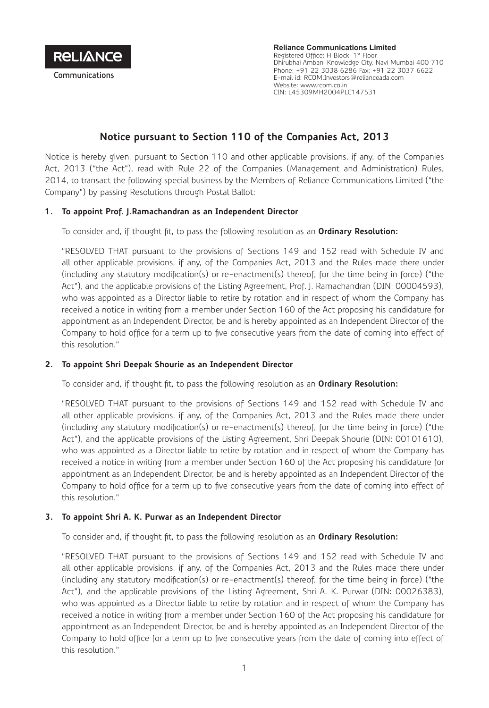

**Reliance Communications Limited** Registered Office: H Block, 1st Floor Dhirubhai Ambani Knowledge City, Navi Mumbai 400 710 Phone: +91 22 3038 6286 Fax: +91 22 3037 6622 E-mail id: RCOM.Investors@relianceada.com Website: www.rcom.co.in CIN: L45309MH2004PLC147531

# **Notice pursuant to Section 110 of the Companies Act, 2013**

Notice is hereby given, pursuant to Section 110 and other applicable provisions, if any, of the Companies Act, 2013 ("the Act"), read with Rule 22 of the Companies (Management and Administration) Rules, 2014, to transact the following special business by the Members of Reliance Communications Limited ("the Company") by passing Resolutions through Postal Ballot:

## **1. To appoint Prof. J.Ramachandran as an Independent Director**

To consider and, if thought fit, to pass the following resolution as an **Ordinary Resolution:** 

"RESOLVED THAT pursuant to the provisions of Sections 149 and 152 read with Schedule IV and all other applicable provisions, if any, of the Companies Act, 2013 and the Rules made there under (including any statutory modification(s) or re-enactment(s) thereof, for the time being in force) ("the Act"), and the applicable provisions of the Listing Agreement, Prof. J. Ramachandran (DIN: 00004593), who was appointed as a Director liable to retire by rotation and in respect of whom the Company has received a notice in writing from a member under Section 160 of the Act proposing his candidature for appointment as an Independent Director, be and is hereby appointed as an Independent Director of the Company to hold office for a term up to five consecutive years from the date of coming into effect of this resolution."

## **2. To appoint Shri Deepak Shourie as an Independent Director**

To consider and, if thought fit, to pass the following resolution as an **Ordinary Resolution:** 

"RESOLVED THAT pursuant to the provisions of Sections 149 and 152 read with Schedule IV and all other applicable provisions, if any, of the Companies Act, 2013 and the Rules made there under (including any statutory modification(s) or re-enactment(s) thereof, for the time being in force) ("the Act"), and the applicable provisions of the Listing Agreement, Shri Deepak Shourie (DIN: 00101610), who was appointed as a Director liable to retire by rotation and in respect of whom the Company has received a notice in writing from a member under Section 160 of the Act proposing his candidature for appointment as an Independent Director, be and is hereby appointed as an Independent Director of the Company to hold office for a term up to five consecutive years from the date of coming into effect of this resolution."

## **3. To appoint Shri A. K. Purwar as an Independent Director**

To consider and, if thought fit, to pass the following resolution as an **Ordinary Resolution:** 

"RESOLVED THAT pursuant to the provisions of Sections 149 and 152 read with Schedule IV and all other applicable provisions, if any, of the Companies Act, 2013 and the Rules made there under (including any statutory modification(s) or re-enactment(s) thereof, for the time being in force) ("the Act"), and the applicable provisions of the Listing Agreement, Shri A. K. Purwar (DIN: 00026383), who was appointed as a Director liable to retire by rotation and in respect of whom the Company has received a notice in writing from a member under Section 160 of the Act proposing his candidature for appointment as an Independent Director, be and is hereby appointed as an Independent Director of the Company to hold office for a term up to five consecutive years from the date of coming into effect of this resolution."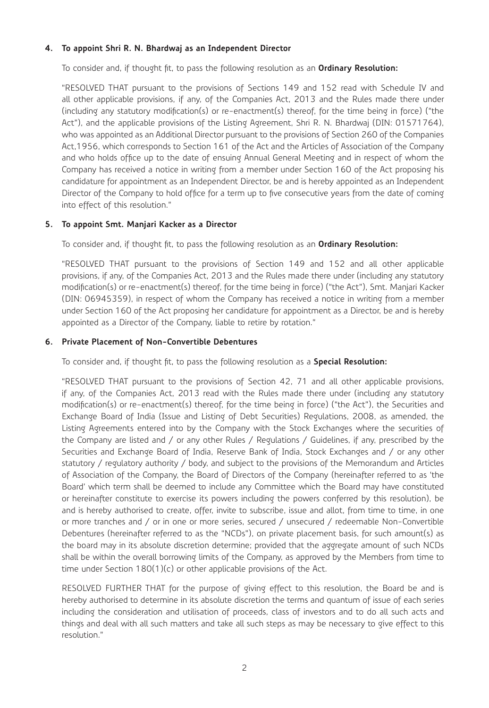### **4. To appoint Shri R. N. Bhardwaj as an Independent Director**

To consider and, if thought fit, to pass the following resolution as an **Ordinary Resolution:** 

"RESOLVED THAT pursuant to the provisions of Sections 149 and 152 read with Schedule IV and all other applicable provisions, if any, of the Companies Act, 2013 and the Rules made there under (including any statutory modification(s) or re-enactment(s) thereof, for the time being in force) ("the Act"), and the applicable provisions of the Listing Agreement, Shri R. N. Bhardwaj (DIN: 01571764), who was appointed as an Additional Director pursuant to the provisions of Section 260 of the Companies Act,1956, which corresponds to Section 161 of the Act and the Articles of Association of the Company and who holds office up to the date of ensuing Annual General Meeting and in respect of whom the Company has received a notice in writing from a member under Section 160 of the Act proposing his candidature for appointment as an Independent Director, be and is hereby appointed as an Independent Director of the Company to hold office for a term up to five consecutive years from the date of coming into effect of this resolution."

#### **5. To appoint Smt. Manjari Kacker as a Director**

To consider and, if thought fit, to pass the following resolution as an **Ordinary Resolution:**

"RESOLVED THAT pursuant to the provisions of Section 149 and 152 and all other applicable provisions, if any, of the Companies Act, 2013 and the Rules made there under (including any statutory modification(s) or re-enactment(s) thereof, for the time being in force) ("the Act"), Smt. Manjari Kacker (DIN: 06945359), in respect of whom the Company has received a notice in writing from a member under Section 160 of the Act proposing her candidature for appointment as a Director, be and is hereby appointed as a Director of the Company, liable to retire by rotation."

#### **6. Private Placement of Non-Convertible Debentures**

To consider and, if thought fit, to pass the following resolution as a **Special Resolution:**

"RESOLVED THAT pursuant to the provisions of Section 42, 71 and all other applicable provisions, if any, of the Companies Act, 2013 read with the Rules made there under (including any statutory modification(s) or re-enactment(s) thereof, for the time being in force) ("the Act"), the Securities and Exchange Board of India (Issue and Listing of Debt Securities) Regulations, 2008, as amended, the Listing Agreements entered into by the Company with the Stock Exchanges where the securities of the Company are listed and / or any other Rules / Regulations / Guidelines, if any, prescribed by the Securities and Exchange Board of India, Reserve Bank of India, Stock Exchanges and / or any other statutory / regulatory authority / body, and subject to the provisions of the Memorandum and Articles of Association of the Company, the Board of Directors of the Company (hereinafter referred to as 'the Board' which term shall be deemed to include any Committee which the Board may have constituted or hereinafter constitute to exercise its powers including the powers conferred by this resolution), be and is hereby authorised to create, offer, invite to subscribe, issue and allot, from time to time, in one or more tranches and / or in one or more series, secured / unsecured / redeemable Non-Convertible Debentures (hereinafter referred to as the "NCDs"), on private placement basis, for such amount(s) as the board may in its absolute discretion determine; provided that the aggregate amount of such NCDs shall be within the overall borrowing limits of the Company, as approved by the Members from time to time under Section 180(1)(c) or other applicable provisions of the Act.

RESOLVED FURTHER THAT for the purpose of giving effect to this resolution, the Board be and is hereby authorised to determine in its absolute discretion the terms and quantum of issue of each series including the consideration and utilisation of proceeds, class of investors and to do all such acts and things and deal with all such matters and take all such steps as may be necessary to give effect to this resolution."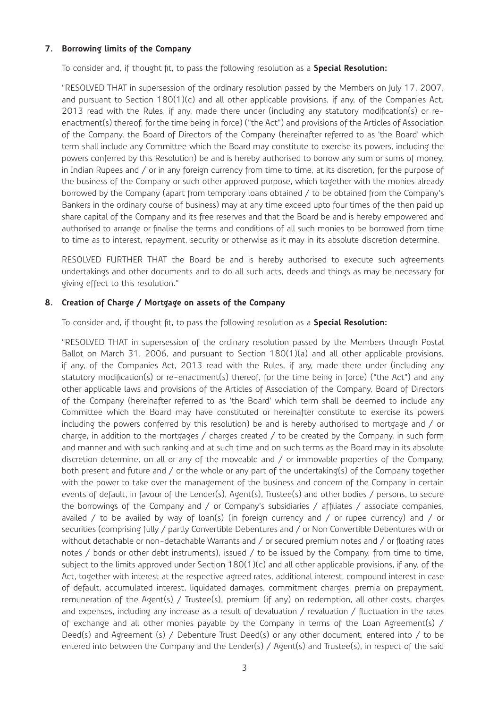#### **7. Borrowing limits of the Company**

To consider and, if thought fit, to pass the following resolution as a **Special Resolution:**

"RESOLVED THAT in supersession of the ordinary resolution passed by the Members on July 17, 2007, and pursuant to Section 180(1)(c) and all other applicable provisions, if any, of the Companies Act, 2013 read with the Rules, if any, made there under (including any statutory modification(s) or reenactment(s) thereof, for the time being in force) ("the Act") and provisions of the Articles of Association of the Company, the Board of Directors of the Company (hereinafter referred to as 'the Board' which term shall include any Committee which the Board may constitute to exercise its powers, including the powers conferred by this Resolution) be and is hereby authorised to borrow any sum or sums of money, in Indian Rupees and / or in any foreign currency from time to time, at its discretion, for the purpose of the business of the Company or such other approved purpose, which together with the monies already borrowed by the Company (apart from temporary loans obtained / to be obtained from the Company's Bankers in the ordinary course of business) may at any time exceed upto four times of the then paid up share capital of the Company and its free reserves and that the Board be and is hereby empowered and authorised to arrange or finalise the terms and conditions of all such monies to be borrowed from time to time as to interest, repayment, security or otherwise as it may in its absolute discretion determine.

RESOLVED FURTHER THAT the Board be and is hereby authorised to execute such agreements undertakings and other documents and to do all such acts, deeds and things as may be necessary for giving effect to this resolution."

#### **8. Creation of Charge / Mortgage on assets of the Company**

To consider and, if thought fit, to pass the following resolution as a **Special Resolution:**

"RESOLVED THAT in supersession of the ordinary resolution passed by the Members through Postal Ballot on March 31, 2006, and pursuant to Section 180(1)(a) and all other applicable provisions, if any, of the Companies Act, 2013 read with the Rules, if any, made there under (including any statutory modification(s) or re-enactment(s) thereof, for the time being in force) ("the Act") and any other applicable laws and provisions of the Articles of Association of the Company, Board of Directors of the Company (hereinafter referred to as 'the Board' which term shall be deemed to include any Committee which the Board may have constituted or hereinafter constitute to exercise its powers including the powers conferred by this resolution) be and is hereby authorised to mortgage and / or charge, in addition to the mortgages / charges created / to be created by the Company, in such form and manner and with such ranking and at such time and on such terms as the Board may in its absolute discretion determine, on all or any of the moveable and / or immovable properties of the Company, both present and future and / or the whole or any part of the undertaking(s) of the Company together with the power to take over the management of the business and concern of the Company in certain events of default, in favour of the Lender(s), Agent(s), Trustee(s) and other bodies / persons, to secure the borrowings of the Company and / or Company's subsidiaries / affiliates / associate companies, availed / to be availed by way of loan(s) (in foreign currency and / or rupee currency) and / or securities (comprising fully / partly Convertible Debentures and / or Non Convertible Debentures with or without detachable or non-detachable Warrants and / or secured premium notes and / or floating rates notes / bonds or other debt instruments), issued / to be issued by the Company, from time to time, subject to the limits approved under Section 180(1)(c) and all other applicable provisions, if any, of the Act, together with interest at the respective agreed rates, additional interest, compound interest in case of default, accumulated interest, liquidated damages, commitment charges, premia on prepayment, remuneration of the Agent(s) / Trustee(s), premium (if any) on redemption, all other costs, charges and expenses, including any increase as a result of devaluation / revaluation / fluctuation in the rates of exchange and all other monies payable by the Company in terms of the Loan Agreement(s) / Deed(s) and Agreement (s) / Debenture Trust Deed(s) or any other document, entered into / to be entered into between the Company and the Lender(s) / Agent(s) and Trustee(s), in respect of the said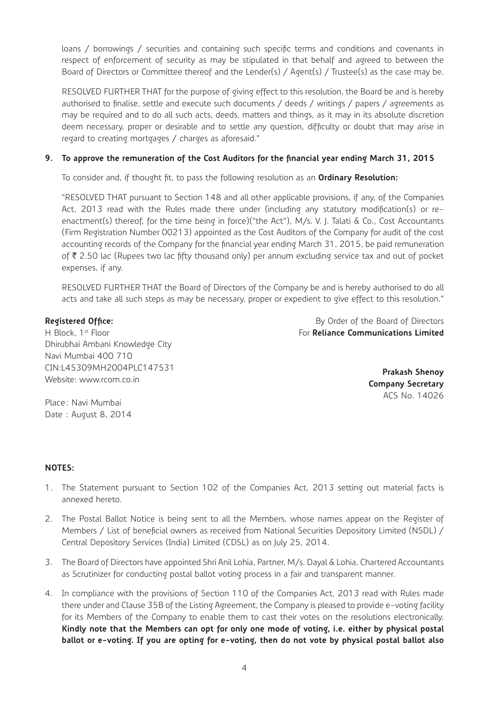loans / borrowings / securities and containing such specific terms and conditions and covenants in respect of enforcement of security as may be stipulated in that behalf and agreed to between the Board of Directors or Committee thereof and the Lender(s) / Agent(s) / Trustee(s) as the case may be.

RESOLVED FURTHER THAT for the purpose of giving effect to this resolution, the Board be and is hereby authorised to finalise, settle and execute such documents / deeds / writings / papers / agreements as may be required and to do all such acts, deeds, matters and things, as it may in its absolute discretion deem necessary, proper or desirable and to settle any question, difficulty or doubt that may arise in regard to creating mortgages / charges as aforesaid."

### **9. To approve the remuneration of the Cost Auditors for the financial year ending March 31, 2015**

To consider and, if thought fit, to pass the following resolution as an **Ordinary Resolution:**

"RESOLVED THAT pursuant to Section 148 and all other applicable provisions, if any, of the Companies Act, 2013 read with the Rules made there under (including any statutory modification(s) or reenactment(s) thereof, for the time being in force)("the Act"), M/s. V. J. Talati & Co., Cost Accountants (Firm Registration Number 00213) appointed as the Cost Auditors of the Company for audit of the cost accounting records of the Company for the financial year ending March 31, 2015, be paid remuneration of ` 2.50 lac (Rupees two lac fifty thousand only) per annum excluding service tax and out of pocket expenses, if any.

RESOLVED FURTHER THAT the Board of Directors of the Company be and is hereby authorised to do all acts and take all such steps as may be necessary, proper or expedient to give effect to this resolution."

#### **Registered Office:**

H Block, 1st Floor Dhirubhai Ambani Knowledge City Navi Mumbai 400 710 CIN:L45309MH2004PLC147531 Website: www.rcom.co.in

By Order of the Board of Directors For **Reliance Communications Limited**

> **Prakash Shenoy Company Secretary** ACS No. 14026

Place: Navi Mumbai Date : August 8, 2014

#### **NOTES:**

- 1. The Statement pursuant to Section 102 of the Companies Act, 2013 setting out material facts is annexed hereto.
- 2. The Postal Ballot Notice is being sent to all the Members, whose names appear on the Register of Members / List of beneficial owners as received from National Securities Depository Limited (NSDL) / Central Depository Services (India) Limited (CDSL) as on July 25, 2014.
- 3. The Board of Directors have appointed Shri Anil Lohia, Partner, M/s. Dayal & Lohia, Chartered Accountants as Scrutinizer for conducting postal ballot voting process in a fair and transparent manner.
- 4. In compliance with the provisions of Section 110 of the Companies Act, 2013 read with Rules made there under and Clause 35B of the Listing Agreement, the Company is pleased to provide e-voting facility for its Members of the Company to enable them to cast their votes on the resolutions electronically. **Kindly note that the Members can opt for only one mode of voting, i.e. either by physical postal ballot or e-voting. If you are opting for e-voting, then do not vote by physical postal ballot also**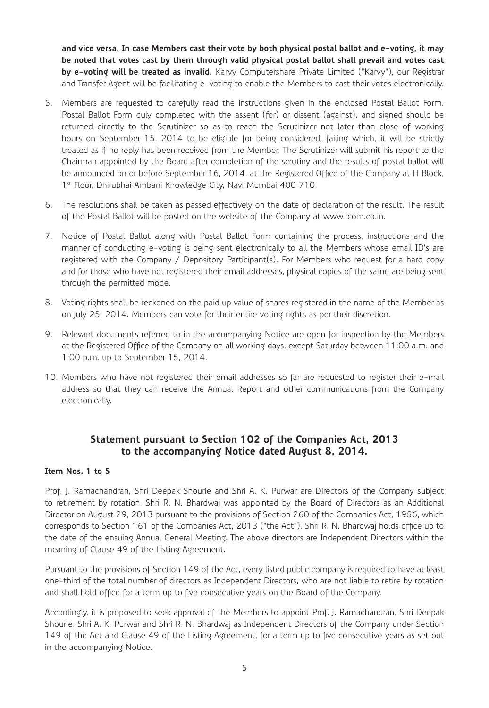**and vice versa. In case Members cast their vote by both physical postal ballot and e-voting, it may be noted that votes cast by them through valid physical postal ballot shall prevail and votes cast by e-voting will be treated as invalid.** Karvy Computershare Private Limited ("Karvy"), our Registrar and Transfer Agent will be facilitating e-voting to enable the Members to cast their votes electronically.

- 5. Members are requested to carefully read the instructions given in the enclosed Postal Ballot Form. Postal Ballot Form duly completed with the assent (for) or dissent (against), and signed should be returned directly to the Scrutinizer so as to reach the Scrutinizer not later than close of working hours on September 15, 2014 to be eligible for being considered, failing which, it will be strictly treated as if no reply has been received from the Member. The Scrutinizer will submit his report to the Chairman appointed by the Board after completion of the scrutiny and the results of postal ballot will be announced on or before September 16, 2014, at the Registered Office of the Company at H Block, 1st Floor, Dhirubhai Ambani Knowledge City, Navi Mumbai 400 710.
- 6. The resolutions shall be taken as passed effectively on the date of declaration of the result. The result of the Postal Ballot will be posted on the website of the Company at www.rcom.co.in.
- 7. Notice of Postal Ballot along with Postal Ballot Form containing the process, instructions and the manner of conducting e-voting is being sent electronically to all the Members whose email ID's are registered with the Company / Depository Participant(s). For Members who request for a hard copy and for those who have not registered their email addresses, physical copies of the same are being sent through the permitted mode.
- 8. Voting rights shall be reckoned on the paid up value of shares registered in the name of the Member as on July 25, 2014. Members can vote for their entire voting rights as per their discretion.
- 9. Relevant documents referred to in the accompanying Notice are open for inspection by the Members at the Registered Office of the Company on all working days, except Saturday between 11:00 a.m. and 1:00 p.m. up to September 15, 2014.
- 10. Members who have not registered their email addresses so far are requested to register their e-mail address so that they can receive the Annual Report and other communications from the Company electronically.

## **Statement pursuant to Section 102 of the Companies Act, 2013 to the accompanying Notice dated August 8, 2014.**

## **Item Nos. 1 to 5**

Prof. J. Ramachandran, Shri Deepak Shourie and Shri A. K. Purwar are Directors of the Company subject to retirement by rotation. Shri R. N. Bhardwaj was appointed by the Board of Directors as an Additional Director on August 29, 2013 pursuant to the provisions of Section 260 of the Companies Act, 1956, which corresponds to Section 161 of the Companies Act, 2013 ("the Act"). Shri R. N. Bhardwaj holds office up to the date of the ensuing Annual General Meeting. The above directors are Independent Directors within the meaning of Clause 49 of the Listing Agreement.

Pursuant to the provisions of Section 149 of the Act, every listed public company is required to have at least one-third of the total number of directors as Independent Directors, who are not liable to retire by rotation and shall hold office for a term up to five consecutive years on the Board of the Company.

Accordingly, it is proposed to seek approval of the Members to appoint Prof. J. Ramachandran, Shri Deepak Shourie, Shri A. K. Purwar and Shri R. N. Bhardwaj as Independent Directors of the Company under Section 149 of the Act and Clause 49 of the Listing Agreement, for a term up to five consecutive years as set out in the accompanying Notice.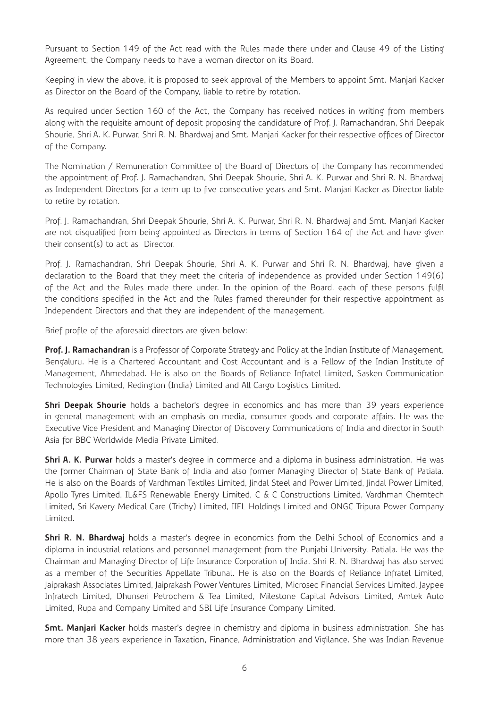Pursuant to Section 149 of the Act read with the Rules made there under and Clause 49 of the Listing Agreement, the Company needs to have a woman director on its Board.

Keeping in view the above, it is proposed to seek approval of the Members to appoint Smt. Manjari Kacker as Director on the Board of the Company, liable to retire by rotation.

As required under Section 160 of the Act, the Company has received notices in writing from members along with the requisite amount of deposit proposing the candidature of Prof. J. Ramachandran, Shri Deepak Shourie, Shri A. K. Purwar, Shri R. N. Bhardwaj and Smt. Manjari Kacker for their respective offices of Director of the Company.

The Nomination / Remuneration Committee of the Board of Directors of the Company has recommended the appointment of Prof. J. Ramachandran, Shri Deepak Shourie, Shri A. K. Purwar and Shri R. N. Bhardwaj as Independent Directors for a term up to five consecutive years and Smt. Manjari Kacker as Director liable to retire by rotation.

Prof. J. Ramachandran, Shri Deepak Shourie, Shri A. K. Purwar, Shri R. N. Bhardwaj and Smt. Manjari Kacker are not disqualified from being appointed as Directors in terms of Section 164 of the Act and have given their consent(s) to act as Director.

Prof. J. Ramachandran, Shri Deepak Shourie, Shri A. K. Purwar and Shri R. N. Bhardwaj, have given a declaration to the Board that they meet the criteria of independence as provided under Section 149(6) of the Act and the Rules made there under. In the opinion of the Board, each of these persons fulfil the conditions specified in the Act and the Rules framed thereunder for their respective appointment as Independent Directors and that they are independent of the management.

Brief profile of the aforesaid directors are given below:

**Prof. J. Ramachandran** is a Professor of Corporate Strategy and Policy at the Indian Institute of Management, Bengaluru. He is a Chartered Accountant and Cost Accountant and is a Fellow of the Indian Institute of Management, Ahmedabad. He is also on the Boards of Reliance Infratel Limited, Sasken Communication Technologies Limited, Redington (India) Limited and All Cargo Logistics Limited.

**Shri Deepak Shourie** holds a bachelor's degree in economics and has more than 39 years experience in general management with an emphasis on media, consumer goods and corporate affairs. He was the Executive Vice President and Managing Director of Discovery Communications of India and director in South Asia for BBC Worldwide Media Private Limited.

**Shri A. K. Purwar** holds a master's degree in commerce and a diploma in business administration. He was the former Chairman of State Bank of India and also former Managing Director of State Bank of Patiala. He is also on the Boards of Vardhman Textiles Limited, Jindal Steel and Power Limited, Jindal Power Limited, Apollo Tyres Limited, IL&FS Renewable Energy Limited, C & C Constructions Limited, Vardhman Chemtech Limited, Sri Kavery Medical Care (Trichy) Limited, IIFL Holdings Limited and ONGC Tripura Power Company Limited.

**Shri R. N. Bhardwaj** holds a master's degree in economics from the Delhi School of Economics and a diploma in industrial relations and personnel management from the Punjabi University, Patiala. He was the Chairman and Managing Director of Life Insurance Corporation of India. Shri R. N. Bhardwaj has also served as a member of the Securities Appellate Tribunal. He is also on the Boards of Reliance Infratel Limited, Jaiprakash Associates Limited, Jaiprakash Power Ventures Limited, Microsec Financial Services Limited, Jaypee Infratech Limited, Dhunseri Petrochem & Tea Limited, Milestone Capital Advisors Limited, Amtek Auto Limited, Rupa and Company Limited and SBI Life Insurance Company Limited.

**Smt. Manjari Kacker** holds master's degree in chemistry and diploma in business administration. She has more than 38 years experience in Taxation, Finance, Administration and Vigilance. She was Indian Revenue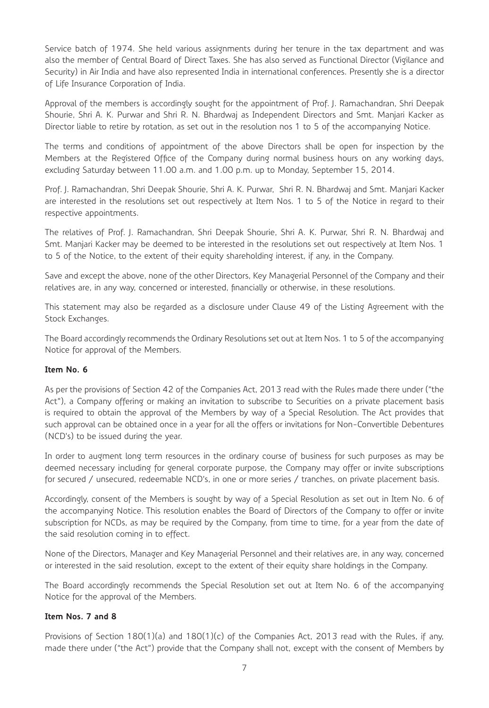Service batch of 1974. She held various assignments during her tenure in the tax department and was also the member of Central Board of Direct Taxes. She has also served as Functional Director (Vigilance and Security) in Air India and have also represented India in international conferences. Presently she is a director of Life Insurance Corporation of India.

Approval of the members is accordingly sought for the appointment of Prof. J. Ramachandran, Shri Deepak Shourie, Shri A. K. Purwar and Shri R. N. Bhardwaj as Independent Directors and Smt. Manjari Kacker as Director liable to retire by rotation, as set out in the resolution nos 1 to 5 of the accompanying Notice.

The terms and conditions of appointment of the above Directors shall be open for inspection by the Members at the Registered Office of the Company during normal business hours on any working days, excluding Saturday between 11.00 a.m. and 1.00 p.m. up to Monday, September 15, 2014.

Prof. J. Ramachandran, Shri Deepak Shourie, Shri A. K. Purwar, Shri R. N. Bhardwaj and Smt. Manjari Kacker are interested in the resolutions set out respectively at Item Nos. 1 to 5 of the Notice in regard to their respective appointments.

The relatives of Prof. J. Ramachandran, Shri Deepak Shourie, Shri A. K. Purwar, Shri R. N. Bhardwaj and Smt. Manjari Kacker may be deemed to be interested in the resolutions set out respectively at Item Nos. 1 to 5 of the Notice, to the extent of their equity shareholding interest, if any, in the Company.

Save and except the above, none of the other Directors, Key Managerial Personnel of the Company and their relatives are, in any way, concerned or interested, financially or otherwise, in these resolutions.

This statement may also be regarded as a disclosure under Clause 49 of the Listing Agreement with the Stock Exchanges.

The Board accordingly recommends the Ordinary Resolutions set out at Item Nos. 1 to 5 of the accompanying Notice for approval of the Members.

#### **Item No. 6**

As per the provisions of Section 42 of the Companies Act, 2013 read with the Rules made there under ("the Act"), a Company offering or making an invitation to subscribe to Securities on a private placement basis is required to obtain the approval of the Members by way of a Special Resolution. The Act provides that such approval can be obtained once in a year for all the offers or invitations for Non-Convertible Debentures (NCD's) to be issued during the year.

In order to augment long term resources in the ordinary course of business for such purposes as may be deemed necessary including for general corporate purpose, the Company may offer or invite subscriptions for secured / unsecured, redeemable NCD's, in one or more series / tranches, on private placement basis.

Accordingly, consent of the Members is sought by way of a Special Resolution as set out in Item No. 6 of the accompanying Notice. This resolution enables the Board of Directors of the Company to offer or invite subscription for NCDs, as may be required by the Company, from time to time, for a year from the date of the said resolution coming in to effect.

None of the Directors, Manager and Key Managerial Personnel and their relatives are, in any way, concerned or interested in the said resolution, except to the extent of their equity share holdings in the Company.

The Board accordingly recommends the Special Resolution set out at Item No. 6 of the accompanying Notice for the approval of the Members.

## **Item Nos. 7 and 8**

Provisions of Section 180(1)(a) and 180(1)(c) of the Companies Act, 2013 read with the Rules, if any, made there under ("the Act") provide that the Company shall not, except with the consent of Members by